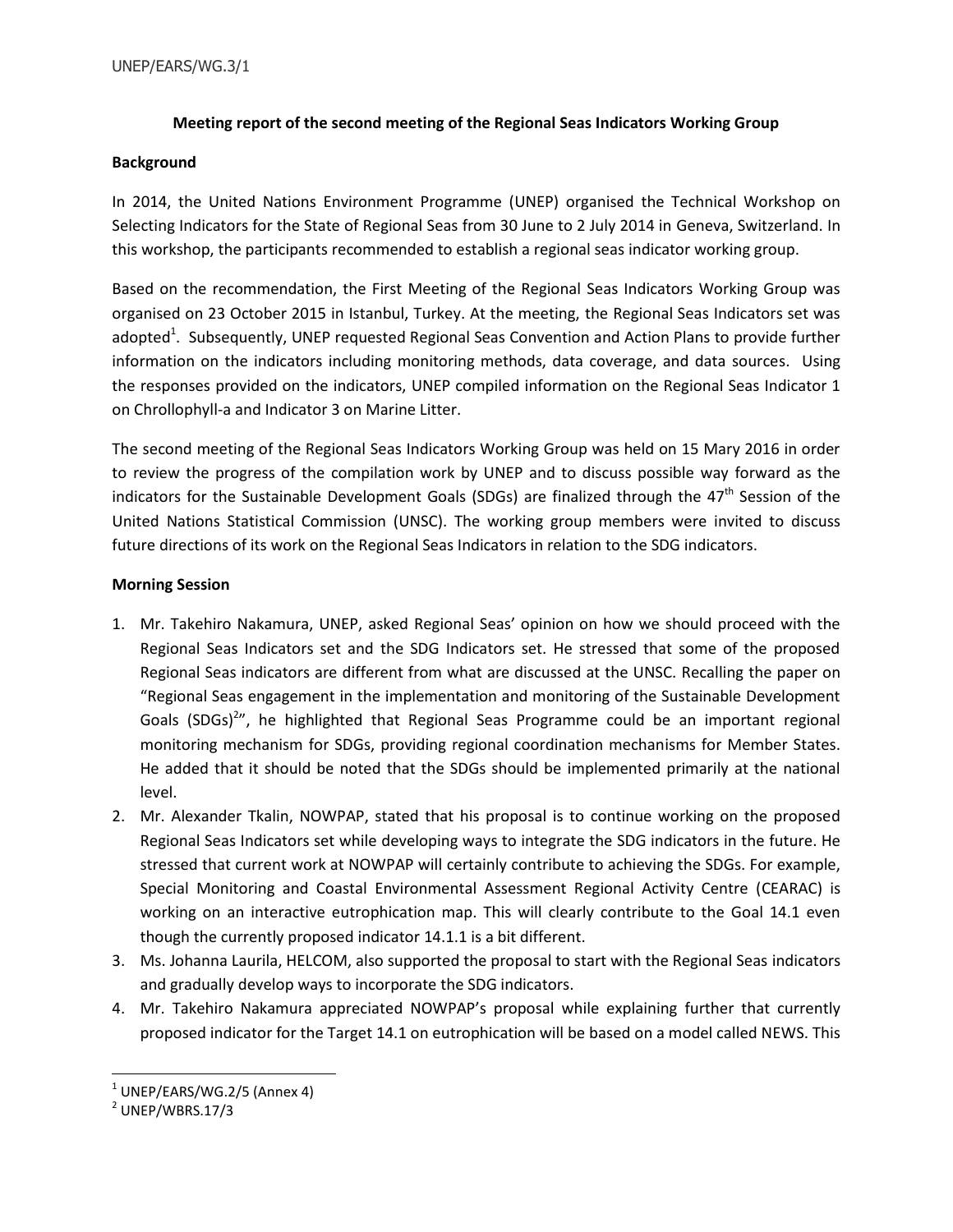# **Meeting report of the second meeting of the Regional Seas Indicators Working Group**

### **Background**

In 2014, the United Nations Environment Programme (UNEP) organised the Technical Workshop on Selecting Indicators for the State of Regional Seas from 30 June to 2 July 2014 in Geneva, Switzerland. In this workshop, the participants recommended to establish a regional seas indicator working group.

Based on the recommendation, the First Meeting of the Regional Seas Indicators Working Group was organised on 23 October 2015 in Istanbul, Turkey. At the meeting, the Regional Seas Indicators set was adopted<sup>1</sup>. Subsequently, UNEP requested Regional Seas Convention and Action Plans to provide further information on the indicators including monitoring methods, data coverage, and data sources. Using the responses provided on the indicators, UNEP compiled information on the Regional Seas Indicator 1 on Chrollophyll-a and Indicator 3 on Marine Litter.

The second meeting of the Regional Seas Indicators Working Group was held on 15 Mary 2016 in order to review the progress of the compilation work by UNEP and to discuss possible way forward as the indicators for the Sustainable Development Goals (SDGs) are finalized through the  $47<sup>th</sup>$  Session of the United Nations Statistical Commission (UNSC). The working group members were invited to discuss future directions of its work on the Regional Seas Indicators in relation to the SDG indicators.

### **Morning Session**

- 1. Mr. Takehiro Nakamura, UNEP, asked Regional Seas' opinion on how we should proceed with the Regional Seas Indicators set and the SDG Indicators set. He stressed that some of the proposed Regional Seas indicators are different from what are discussed at the UNSC. Recalling the paper on "Regional Seas engagement in the implementation and monitoring of the Sustainable Development Goals (SDGs)<sup>2</sup>", he highlighted that Regional Seas Programme could be an important regional monitoring mechanism for SDGs, providing regional coordination mechanisms for Member States. He added that it should be noted that the SDGs should be implemented primarily at the national level.
- 2. Mr. Alexander Tkalin, NOWPAP, stated that his proposal is to continue working on the proposed Regional Seas Indicators set while developing ways to integrate the SDG indicators in the future. He stressed that current work at NOWPAP will certainly contribute to achieving the SDGs. For example, Special Monitoring and Coastal Environmental Assessment Regional Activity Centre (CEARAC) is working on an interactive eutrophication map. This will clearly contribute to the Goal 14.1 even though the currently proposed indicator 14.1.1 is a bit different.
- 3. Ms. Johanna Laurila, HELCOM, also supported the proposal to start with the Regional Seas indicators and gradually develop ways to incorporate the SDG indicators.
- 4. Mr. Takehiro Nakamura appreciated NOWPAP's proposal while explaining further that currently proposed indicator for the Target 14.1 on eutrophication will be based on a model called NEWS. This

l

 $^{\rm 1}$  UNEP/EARS/WG.2/5 (Annex 4)

 $2$  UNEP/WBRS.17/3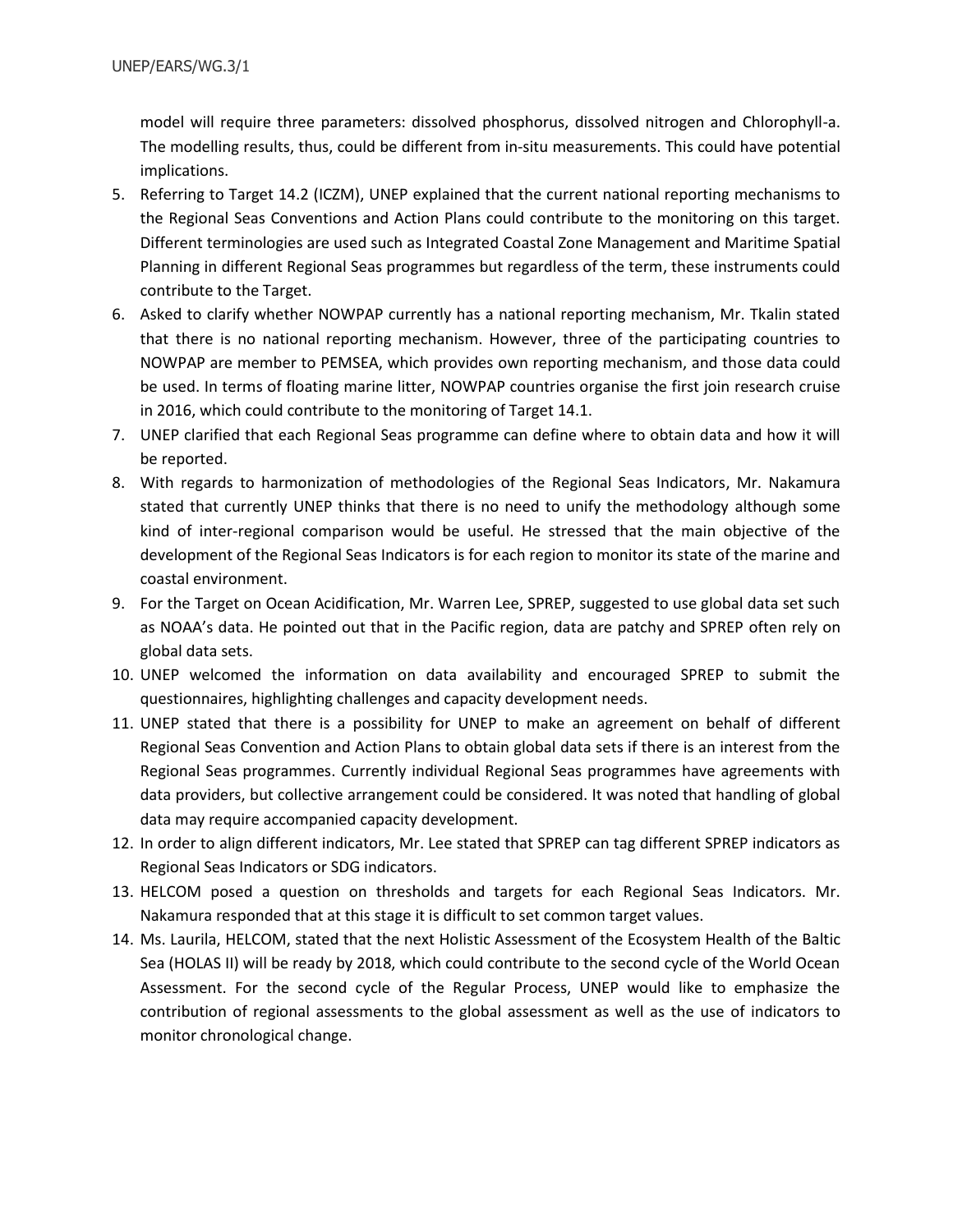model will require three parameters: dissolved phosphorus, dissolved nitrogen and Chlorophyll-a. The modelling results, thus, could be different from in-situ measurements. This could have potential implications.

- 5. Referring to Target 14.2 (ICZM), UNEP explained that the current national reporting mechanisms to the Regional Seas Conventions and Action Plans could contribute to the monitoring on this target. Different terminologies are used such as Integrated Coastal Zone Management and Maritime Spatial Planning in different Regional Seas programmes but regardless of the term, these instruments could contribute to the Target.
- 6. Asked to clarify whether NOWPAP currently has a national reporting mechanism, Mr. Tkalin stated that there is no national reporting mechanism. However, three of the participating countries to NOWPAP are member to PEMSEA, which provides own reporting mechanism, and those data could be used. In terms of floating marine litter, NOWPAP countries organise the first join research cruise in 2016, which could contribute to the monitoring of Target 14.1.
- 7. UNEP clarified that each Regional Seas programme can define where to obtain data and how it will be reported.
- 8. With regards to harmonization of methodologies of the Regional Seas Indicators, Mr. Nakamura stated that currently UNEP thinks that there is no need to unify the methodology although some kind of inter-regional comparison would be useful. He stressed that the main objective of the development of the Regional Seas Indicators is for each region to monitor its state of the marine and coastal environment.
- 9. For the Target on Ocean Acidification, Mr. Warren Lee, SPREP, suggested to use global data set such as NOAA's data. He pointed out that in the Pacific region, data are patchy and SPREP often rely on global data sets.
- 10. UNEP welcomed the information on data availability and encouraged SPREP to submit the questionnaires, highlighting challenges and capacity development needs.
- 11. UNEP stated that there is a possibility for UNEP to make an agreement on behalf of different Regional Seas Convention and Action Plans to obtain global data sets if there is an interest from the Regional Seas programmes. Currently individual Regional Seas programmes have agreements with data providers, but collective arrangement could be considered. It was noted that handling of global data may require accompanied capacity development.
- 12. In order to align different indicators, Mr. Lee stated that SPREP can tag different SPREP indicators as Regional Seas Indicators or SDG indicators.
- 13. HELCOM posed a question on thresholds and targets for each Regional Seas Indicators. Mr. Nakamura responded that at this stage it is difficult to set common target values.
- 14. Ms. Laurila, HELCOM, stated that the next Holistic Assessment of the Ecosystem Health of the Baltic Sea (HOLAS II) will be ready by 2018, which could contribute to the second cycle of the World Ocean Assessment. For the second cycle of the Regular Process, UNEP would like to emphasize the contribution of regional assessments to the global assessment as well as the use of indicators to monitor chronological change.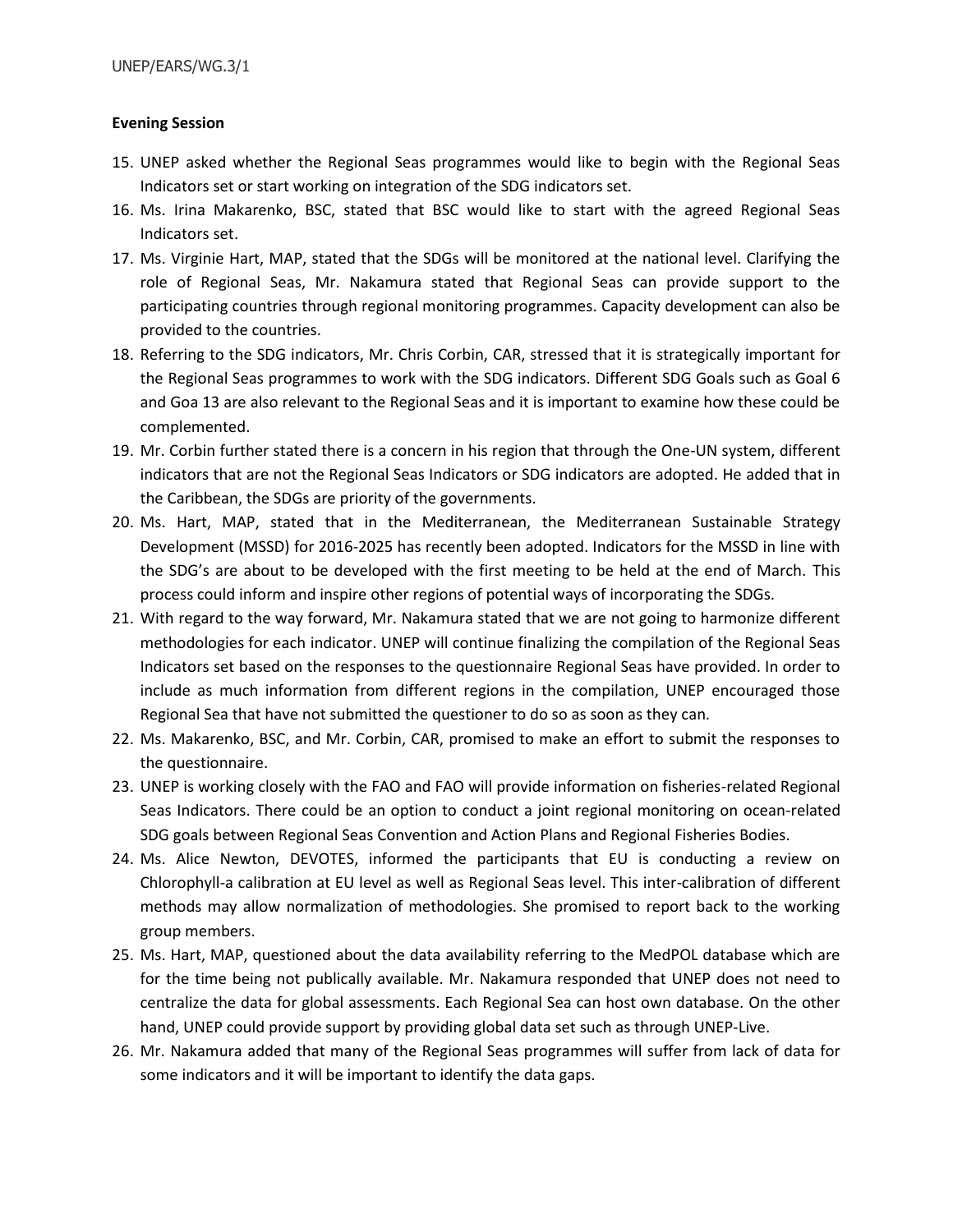### **Evening Session**

- 15. UNEP asked whether the Regional Seas programmes would like to begin with the Regional Seas Indicators set or start working on integration of the SDG indicators set.
- 16. Ms. Irina Makarenko, BSC, stated that BSC would like to start with the agreed Regional Seas Indicators set.
- 17. Ms. Virginie Hart, MAP, stated that the SDGs will be monitored at the national level. Clarifying the role of Regional Seas, Mr. Nakamura stated that Regional Seas can provide support to the participating countries through regional monitoring programmes. Capacity development can also be provided to the countries.
- 18. Referring to the SDG indicators, Mr. Chris Corbin, CAR, stressed that it is strategically important for the Regional Seas programmes to work with the SDG indicators. Different SDG Goals such as Goal 6 and Goa 13 are also relevant to the Regional Seas and it is important to examine how these could be complemented.
- 19. Mr. Corbin further stated there is a concern in his region that through the One-UN system, different indicators that are not the Regional Seas Indicators or SDG indicators are adopted. He added that in the Caribbean, the SDGs are priority of the governments.
- 20. Ms. Hart, MAP, stated that in the Mediterranean, the Mediterranean Sustainable Strategy Development (MSSD) for 2016-2025 has recently been adopted. Indicators for the MSSD in line with the SDG's are about to be developed with the first meeting to be held at the end of March. This process could inform and inspire other regions of potential ways of incorporating the SDGs.
- 21. With regard to the way forward, Mr. Nakamura stated that we are not going to harmonize different methodologies for each indicator. UNEP will continue finalizing the compilation of the Regional Seas Indicators set based on the responses to the questionnaire Regional Seas have provided. In order to include as much information from different regions in the compilation, UNEP encouraged those Regional Sea that have not submitted the questioner to do so as soon as they can.
- 22. Ms. Makarenko, BSC, and Mr. Corbin, CAR, promised to make an effort to submit the responses to the questionnaire.
- 23. UNEP is working closely with the FAO and FAO will provide information on fisheries-related Regional Seas Indicators. There could be an option to conduct a joint regional monitoring on ocean-related SDG goals between Regional Seas Convention and Action Plans and Regional Fisheries Bodies.
- 24. Ms. Alice Newton, DEVOTES, informed the participants that EU is conducting a review on Chlorophyll-a calibration at EU level as well as Regional Seas level. This inter-calibration of different methods may allow normalization of methodologies. She promised to report back to the working group members.
- 25. Ms. Hart, MAP, questioned about the data availability referring to the MedPOL database which are for the time being not publically available. Mr. Nakamura responded that UNEP does not need to centralize the data for global assessments. Each Regional Sea can host own database. On the other hand, UNEP could provide support by providing global data set such as through UNEP-Live.
- 26. Mr. Nakamura added that many of the Regional Seas programmes will suffer from lack of data for some indicators and it will be important to identify the data gaps.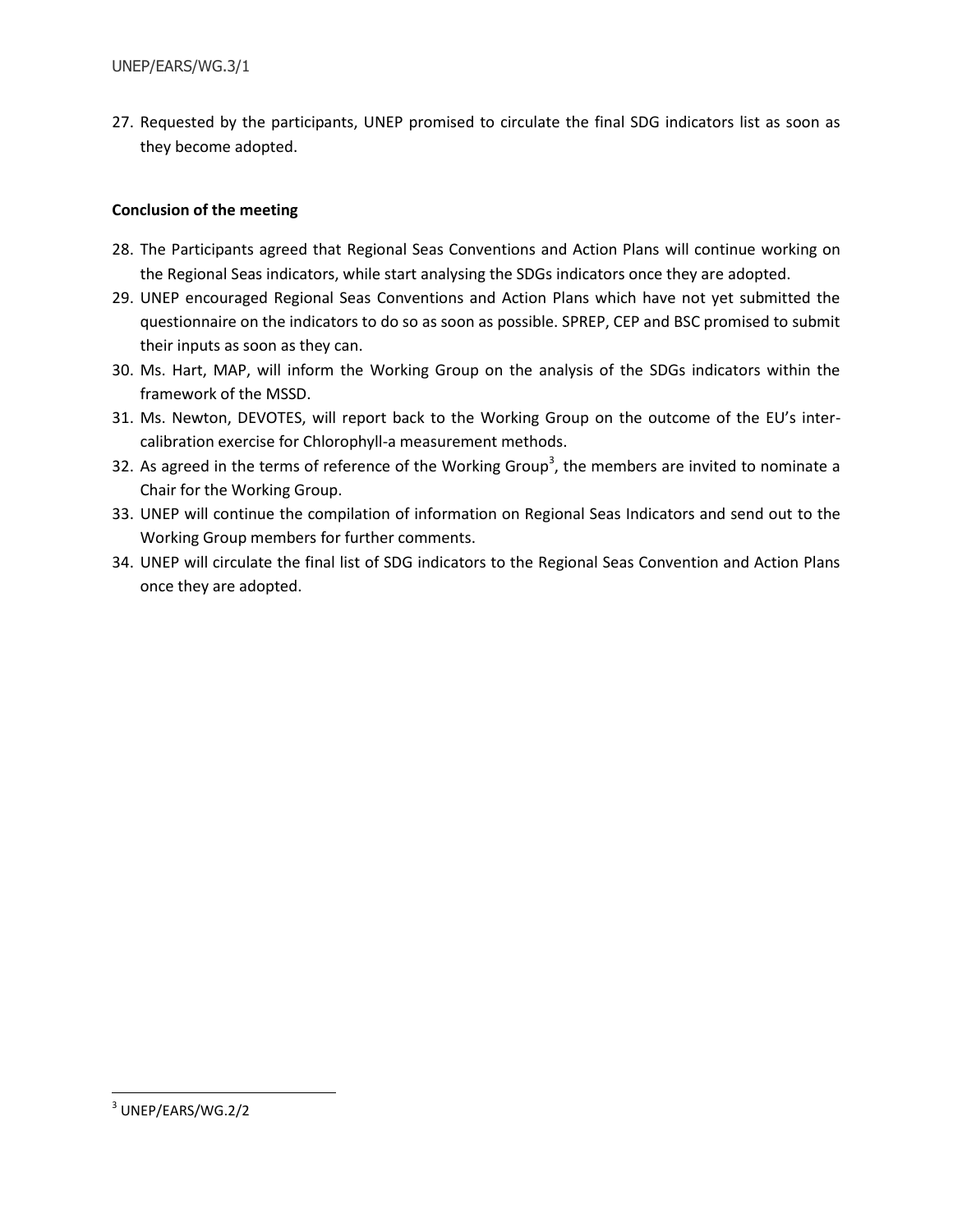27. Requested by the participants, UNEP promised to circulate the final SDG indicators list as soon as they become adopted.

# **Conclusion of the meeting**

- 28. The Participants agreed that Regional Seas Conventions and Action Plans will continue working on the Regional Seas indicators, while start analysing the SDGs indicators once they are adopted.
- 29. UNEP encouraged Regional Seas Conventions and Action Plans which have not yet submitted the questionnaire on the indicators to do so as soon as possible. SPREP, CEP and BSC promised to submit their inputs as soon as they can.
- 30. Ms. Hart, MAP, will inform the Working Group on the analysis of the SDGs indicators within the framework of the MSSD.
- 31. Ms. Newton, DEVOTES, will report back to the Working Group on the outcome of the EU's intercalibration exercise for Chlorophyll-a measurement methods.
- 32. As agreed in the terms of reference of the Working Group<sup>3</sup>, the members are invited to nominate a Chair for the Working Group.
- 33. UNEP will continue the compilation of information on Regional Seas Indicators and send out to the Working Group members for further comments.
- 34. UNEP will circulate the final list of SDG indicators to the Regional Seas Convention and Action Plans once they are adopted.

 $\overline{\phantom{a}}$ 

 $^3$  UNEP/EARS/WG.2/2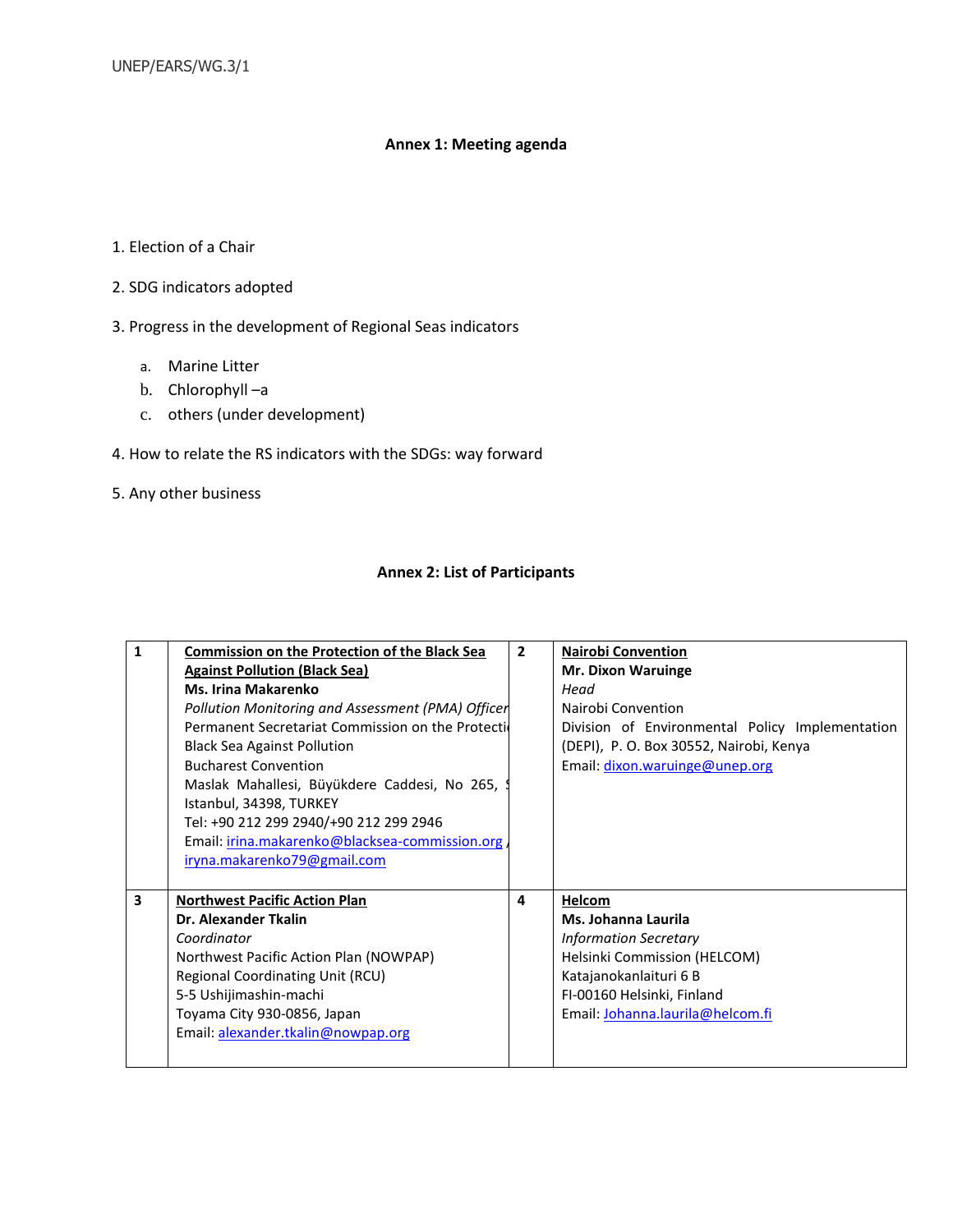# **Annex 1: Meeting agenda**

- 1. Election of a Chair
- 2. SDG indicators adopted
- 3. Progress in the development of Regional Seas indicators
	- a. Marine Litter
	- b. Chlorophyll –a
	- c. others (under development)
- 4. How to relate the RS indicators with the SDGs: way forward
- 5. Any other business

#### **Annex 2: List of Participants**

| 1                       | <b>Commission on the Protection of the Black Sea</b> | $\overline{2}$ | <b>Nairobi Convention</b>                       |
|-------------------------|------------------------------------------------------|----------------|-------------------------------------------------|
|                         | <b>Against Pollution (Black Sea)</b>                 |                | <b>Mr. Dixon Waruinge</b>                       |
|                         | <b>Ms. Irina Makarenko</b>                           |                | Head                                            |
|                         | Pollution Monitoring and Assessment (PMA) Officer    |                | Nairobi Convention                              |
|                         | Permanent Secretariat Commission on the Protection   |                | Division of Environmental Policy Implementation |
|                         | <b>Black Sea Against Pollution</b>                   |                | (DEPI), P. O. Box 30552, Nairobi, Kenya         |
|                         | <b>Bucharest Convention</b>                          |                | Email: dixon.waruinge@unep.org                  |
|                         | Maslak Mahallesi, Büyükdere Caddesi, No 265, 9       |                |                                                 |
|                         | Istanbul, 34398, TURKEY                              |                |                                                 |
|                         | Tel: +90 212 299 2940/+90 212 299 2946               |                |                                                 |
|                         | Email: irina.makarenko@blacksea-commission.org       |                |                                                 |
|                         | iryna.makarenko79@gmail.com                          |                |                                                 |
|                         |                                                      |                |                                                 |
| $\overline{\mathbf{3}}$ | <b>Northwest Pacific Action Plan</b>                 | 4              | Helcom                                          |
|                         | Dr. Alexander Tkalin                                 |                | Ms. Johanna Laurila                             |
|                         | Coordinator                                          |                | <b>Information Secretary</b>                    |
|                         | Northwest Pacific Action Plan (NOWPAP)               |                | Helsinki Commission (HELCOM)                    |
|                         | Regional Coordinating Unit (RCU)                     |                | Katajanokanlaituri 6 B                          |
|                         | 5-5 Ushijimashin-machi                               |                | FI-00160 Helsinki, Finland                      |
|                         | Toyama City 930-0856, Japan                          |                | Email: Johanna.laurila@helcom.fi                |
|                         | Email: alexander.tkalin@nowpap.org                   |                |                                                 |
|                         |                                                      |                |                                                 |
|                         |                                                      |                |                                                 |